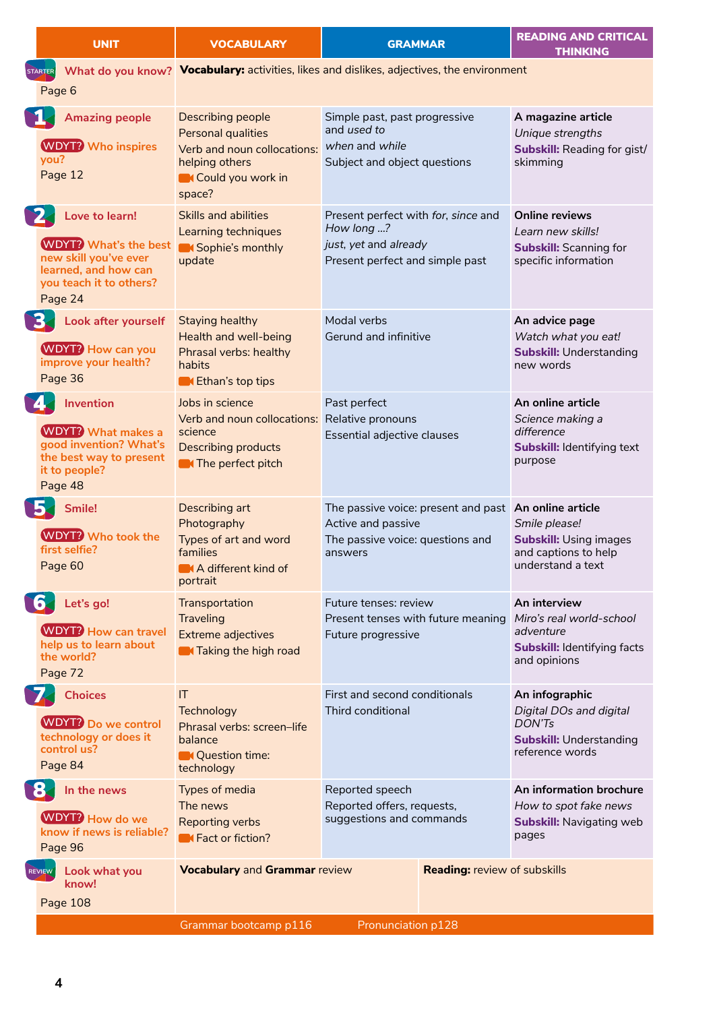| <b>UNIT</b>    |                                                                                                                                       | <b>VOCABULARY</b>                                                                                                                                                                         |                                                                                                                            | <b>GRAMMAR</b>                                                                               | <b>READING AND CRITICAL</b><br><b>THINKING</b>                                                                  |  |  |  |
|----------------|---------------------------------------------------------------------------------------------------------------------------------------|-------------------------------------------------------------------------------------------------------------------------------------------------------------------------------------------|----------------------------------------------------------------------------------------------------------------------------|----------------------------------------------------------------------------------------------|-----------------------------------------------------------------------------------------------------------------|--|--|--|
| <b>STARTER</b> | Page 6                                                                                                                                | What do you know? Vocabulary: activities, likes and dislikes, adjectives, the environment                                                                                                 |                                                                                                                            |                                                                                              |                                                                                                                 |  |  |  |
| N.             | <b>Amazing people</b><br><b>WDYT?</b> Who inspires<br>vou?<br>Page 12                                                                 | Describing people<br>Personal qualities<br>Verb and noun collocations:<br>helping others<br>Could you work in<br>space?                                                                   | Simple past, past progressive<br>and used to<br>when and while<br>Subject and object questions                             |                                                                                              | A magazine article<br>Unique strengths<br><b>Subskill: Reading for gist/</b><br>skimming                        |  |  |  |
| 2              | Love to learn!<br><b>WDYT?</b> What's the best<br>new skill you've ever<br>learned, and how can<br>you teach it to others?<br>Page 24 | Skills and abilities<br>Learning techniques<br>Sophie's monthly<br>update                                                                                                                 | Present perfect with for, since and<br>How long ?<br>just, yet and already<br>Present perfect and simple past              |                                                                                              | <b>Online reviews</b><br>Learn new skills!<br><b>Subskill: Scanning for</b><br>specific information             |  |  |  |
| <b>B.</b>      | Look after yourself<br><b>WDYT?</b> How can you<br>improve your health?<br>Page 36                                                    | <b>Staying healthy</b><br>Health and well-being<br>Phrasal verbs: healthy<br>habits<br>K Ethan's top tips                                                                                 | Modal verbs<br>Gerund and infinitive                                                                                       |                                                                                              | An advice page<br>Watch what you eat!<br><b>Subskill: Understanding</b><br>new words                            |  |  |  |
|                | <b>Invention</b><br><b>WDYT?</b> What makes a<br>good invention? What's<br>the best way to present<br>it to people?<br>Page 48        | Jobs in science<br>Past perfect<br>Relative pronouns<br>Verb and noun collocations:<br>science<br>Essential adjective clauses<br><b>Describing products</b><br><b>N</b> The perfect pitch |                                                                                                                            | An online article<br>Science making a<br>difference<br>Subskill: Identifying text<br>purpose |                                                                                                                 |  |  |  |
| <b>B.</b>      | Smile!<br><b>WDYT?</b> Who took the<br>first selfie?<br>Page 60                                                                       | Describing art<br>Photography<br>Types of art and word<br>families<br>A different kind of<br>portrait                                                                                     | The passive voice: present and past An online article<br>Active and passive<br>The passive voice: questions and<br>answers |                                                                                              | Smile please!<br><b>Subskill: Using images</b><br>and captions to help<br>understand a text                     |  |  |  |
| <b>163</b>     | Let's go!<br><b>WDYT?</b> How can travel<br>help us to learn about<br>the world?<br>Page 72                                           | Transportation<br><b>Traveling</b><br><b>Extreme adjectives</b><br><b>A</b> Taking the high road                                                                                          | Future tenses: review<br>Present tenses with future meaning Miro's real world-school<br>Future progressive                 |                                                                                              | An interview<br>adventure<br><b>Subskill: Identifying facts</b><br>and opinions                                 |  |  |  |
| 7              | <b>Choices</b><br><b>WDYT?</b> Do we control<br>technology or does it<br>control us?<br>Page 84                                       | T <br>Technology<br>Phrasal verbs: screen-life<br>balance<br><b>Question time:</b><br>technology                                                                                          | First and second conditionals<br>Third conditional                                                                         |                                                                                              | An infographic<br><b>Digital DOs and digital</b><br>DON'Ts<br><b>Subskill: Understanding</b><br>reference words |  |  |  |
| <b>184</b>     | In the news<br>WDYT? How do we<br>know if news is reliable?<br>Page 96                                                                | Types of media<br>Reported speech<br>Reported offers, requests,<br>The news<br>suggestions and commands<br><b>Reporting verbs</b><br><b>K</b> Fact or fiction?                            |                                                                                                                            | An information brochure<br>How to spot fake news<br><b>Subskill: Navigating web</b><br>pages |                                                                                                                 |  |  |  |
| REVIEW         | Look what you<br>know!<br>Page 108                                                                                                    | <b>Vocabulary and Grammar review</b><br>Grammar bootcamp p116                                                                                                                             | Pronunciation p128                                                                                                         | <b>Reading: review of subskills</b>                                                          |                                                                                                                 |  |  |  |